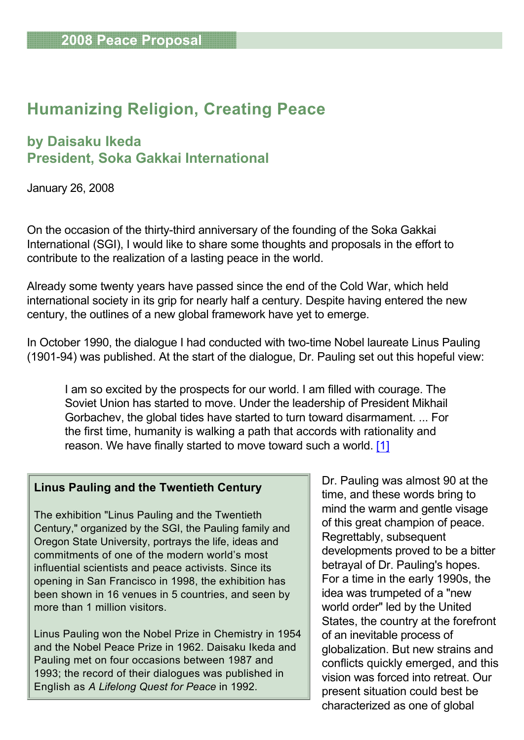# Humanizing Religion, Creating Peace

by Daisaku Ikeda President, Soka Gakkai International

January 26, 2008

On the occasion of the thirty-third anniversary of the founding of the Soka Gakkai International (SGI), I would like to share some thoughts and proposals in the effort to contribute to the realization of a lasting peace in the world.

Already some twenty years have passed since the end of the Cold War, which held international society in its grip for nearly half a century. Despite having entered the new century, the outlines of a new global framework have yet to emerge.

In October 1990, the dialogue I had conducted with two-time Nobel laureate Linus Pauling (1901-94) was published. At the start of the dialogue, Dr. Pauling set out this hopeful view:

I am so excited by the prospects for our world. I am filled with courage. The Soviet Union has started to move. Under the leadership of President Mikhail Gorbachev, the global tides have started to turn toward disarmament. ... For the first time, humanity is walking a path that accords with rationality and reason. We have finally started to move toward such a world. [\[1\]](#page-24-0)

### Linus Pauling and the Twentieth Century

The exhibition "Linus Pauling and the Twentieth Century," organized by the SGI, the Pauling family and Oregon State University, portrays the life, ideas and commitments of one of the modern world's most influential scientists and peace activists. Since its opening in San Francisco in 1998, the exhibition has been shown in 16 venues in 5 countries, and seen by more than 1 million visitors.

Linus Pauling won the Nobel Prize in Chemistry in 1954 and the Nobel Peace Prize in 1962. Daisaku Ikeda and Pauling met on four occasions between 1987 and 1993; the record of their dialogues was published in English as *A Lifelong Quest for Peace* in 1992.

Dr. Pauling was almost 90 at the time, and these words bring to mind the warm and gentle visage of this great champion of peace. Regrettably, subsequent developments proved to be a bitter betrayal of Dr. Pauling's hopes. For a time in the early 1990s, the idea was trumpeted of a "new world order" led by the United States, the country at the forefront of an inevitable process of globalization. But new strains and conflicts quickly emerged, and this vision was forced into retreat. Our present situation could best be characterized as one of global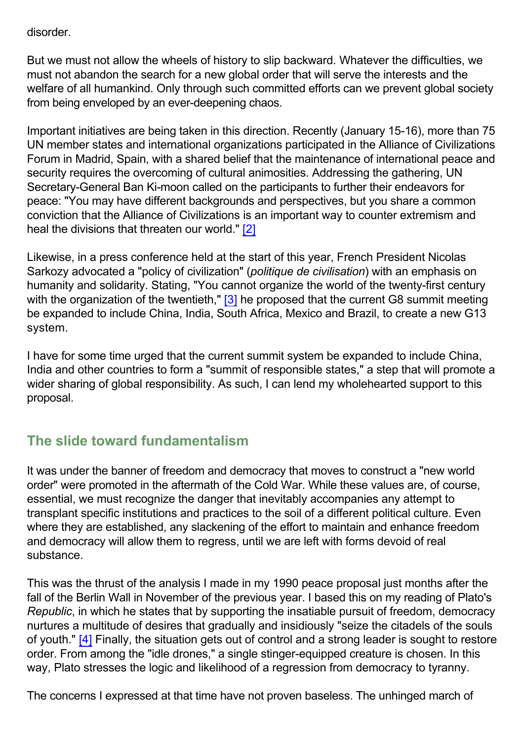disorder.

But we must not allow the wheels of history to slip backward. Whatever the difficulties, we must not abandon the search for a new global order that will serve the interests and the welfare of all humankind. Only through such committed efforts can we prevent global society from being enveloped by an ever-deepening chaos.

Important initiatives are being taken in this direction. Recently (January 15-16), more than 75 UN member states and international organizations participated in the Alliance of Civilizations Forum in Madrid, Spain, with a shared belief that the maintenance of international peace and security requires the overcoming of cultural animosities. Addressing the gathering, UN Secretary-General Ban Ki-moon called on the participants to further their endeavors for peace: "You may have different backgrounds and perspectives, but you share a common conviction that the Alliance of Civilizations is an important way to counter extremism and heal the divisions that threaten our world." [\[2\]](#page-24-0)

Likewise, in a press conference held at the start of this year, French President Nicolas Sarkozy advocated a "policy of civilization" (*politique de civilisation*) with an emphasis on humanity and solidarity. Stating, "You cannot organize the world of the twenty-first century with the organization of the twentieth," [\[3\]](#page-24-0) he proposed that the current G8 summit meeting be expanded to include China, India, South Africa, Mexico and Brazil, to create a new G13 system.

I have for some time urged that the current summit system be expanded to include China, India and other countries to form a "summit of responsible states," a step that will promote a wider sharing of global responsibility. As such, I can lend my wholehearted support to this proposal.

## The slide toward fundamentalism

It was under the banner of freedom and democracy that moves to construct a "new world order" were promoted in the aftermath of the Cold War. While these values are, of course, essential, we must recognize the danger that inevitably accompanies any attempt to transplant specific institutions and practices to the soil of a different political culture. Even where they are established, any slackening of the effort to maintain and enhance freedom and democracy will allow them to regress, until we are left with forms devoid of real substance.

This was the thrust of the analysis I made in my 1990 peace proposal just months after the fall of the Berlin Wall in November of the previous year. I based this on my reading of Plato's *Republic*, in which he states that by supporting the insatiable pursuit of freedom, democracy nurtures a multitude of desires that gradually and insidiously "seize the citadels of the souls of youth." [\[4\]](#page-24-0) Finally, the situation gets out of control and a strong leader is sought to restore order. From among the "idle drones," a single stinger-equipped creature is chosen. In this way, Plato stresses the logic and likelihood of a regression from democracy to tyranny.

The concerns I expressed at that time have not proven baseless. The unhinged march of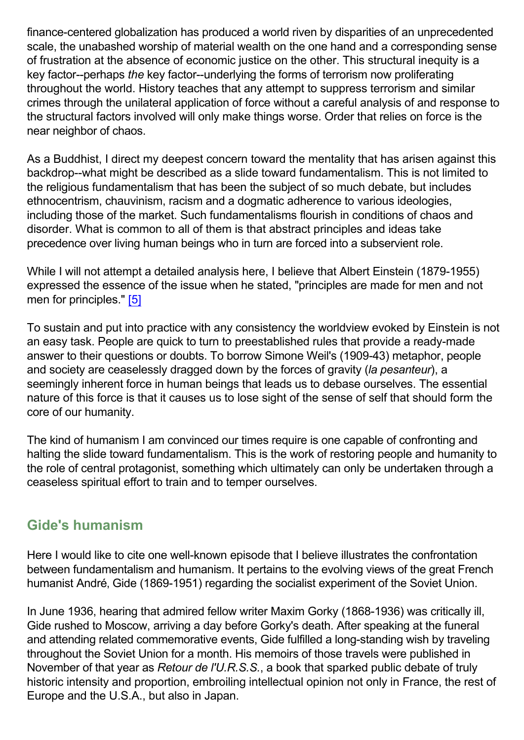finance-centered globalization has produced a world riven by disparities of an unprecedented scale, the unabashed worship of material wealth on the one hand and a corresponding sense of frustration at the absence of economic justice on the other. This structural inequity is a key factor--perhaps *the* key factor--underlying the forms of terrorism now proliferating throughout the world. History teaches that any attempt to suppress terrorism and similar crimes through the unilateral application of force without a careful analysis of and response to the structural factors involved will only make things worse. Order that relies on force is the near neighbor of chaos.

As a Buddhist, I direct my deepest concern toward the mentality that has arisen against this backdrop--what might be described as a slide toward fundamentalism. This is not limited to the religious fundamentalism that has been the subject of so much debate, but includes ethnocentrism, chauvinism, racism and a dogmatic adherence to various ideologies, including those of the market. Such fundamentalisms flourish in conditions of chaos and disorder. What is common to all of them is that abstract principles and ideas take precedence over living human beings who in turn are forced into a subservient role.

While I will not attempt a detailed analysis here, I believe that Albert Einstein (1879-1955) expressed the essence of the issue when he stated, "principles are made for men and not men for principles." [\[5\]](#page-24-0)

To sustain and put into practice with any consistency the worldview evoked by Einstein is not an easy task. People are quick to turn to preestablished rules that provide a ready-made answer to their questions or doubts. To borrow Simone Weil's (1909-43) metaphor, people and society are ceaselessly dragged down by the forces of gravity (*la pesanteur*), a seemingly inherent force in human beings that leads us to debase ourselves. The essential nature of this force is that it causes us to lose sight of the sense of self that should form the core of our humanity.

The kind of humanism I am convinced our times require is one capable of confronting and halting the slide toward fundamentalism. This is the work of restoring people and humanity to the role of central protagonist, something which ultimately can only be undertaken through a ceaseless spiritual effort to train and to temper ourselves.

## Gide's humanism

Here I would like to cite one well-known episode that I believe illustrates the confrontation between fundamentalism and humanism. It pertains to the evolving views of the great French humanist André, Gide (1869-1951) regarding the socialist experiment of the Soviet Union.

In June 1936, hearing that admired fellow writer Maxim Gorky (1868-1936) was critically ill, Gide rushed to Moscow, arriving a day before Gorky's death. After speaking at the funeral and attending related commemorative events, Gide fulfilled a long-standing wish by traveling throughout the Soviet Union for a month. His memoirs of those travels were published in November of that year as *Retour de l'U.R.S.S.*, a book that sparked public debate of truly historic intensity and proportion, embroiling intellectual opinion not only in France, the rest of Europe and the U.S.A., but also in Japan.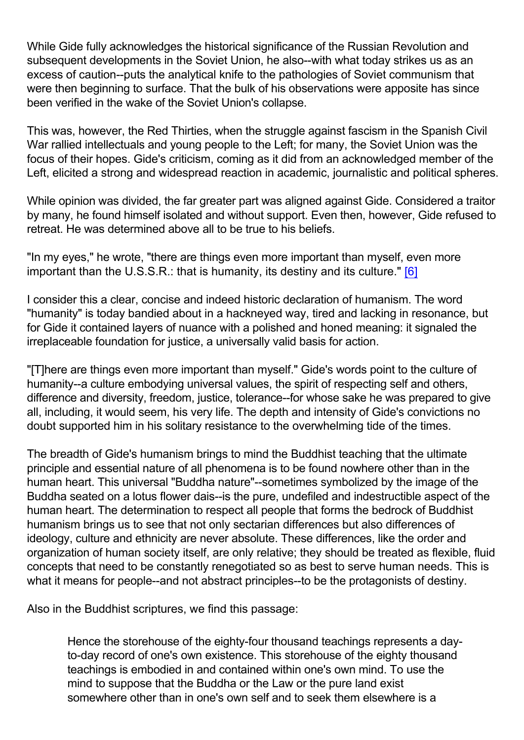While Gide fully acknowledges the historical significance of the Russian Revolution and subsequent developments in the Soviet Union, he also--with what today strikes us as an excess of caution--puts the analytical knife to the pathologies of Soviet communism that were then beginning to surface. That the bulk of his observations were apposite has since been verified in the wake of the Soviet Union's collapse.

This was, however, the Red Thirties, when the struggle against fascism in the Spanish Civil War rallied intellectuals and young people to the Left; for many, the Soviet Union was the focus of their hopes. Gide's criticism, coming as it did from an acknowledged member of the Left, elicited a strong and widespread reaction in academic, journalistic and political spheres.

While opinion was divided, the far greater part was aligned against Gide. Considered a traitor by many, he found himself isolated and without support. Even then, however, Gide refused to retreat. He was determined above all to be true to his beliefs.

"In my eyes," he wrote, "there are things even more important than myself, even more important than the U.S.S.R.: that is humanity, its destiny and its culture." [\[6\]](#page-24-0)

I consider this a clear, concise and indeed historic declaration of humanism. The word "humanity" is today bandied about in a hackneyed way, tired and lacking in resonance, but for Gide it contained layers of nuance with a polished and honed meaning: it signaled the irreplaceable foundation for justice, a universally valid basis for action.

"[T]here are things even more important than myself." Gide's words point to the culture of humanity--a culture embodying universal values, the spirit of respecting self and others, difference and diversity, freedom, justice, tolerance--for whose sake he was prepared to give all, including, it would seem, his very life. The depth and intensity of Gide's convictions no doubt supported him in his solitary resistance to the overwhelming tide of the times.

The breadth of Gide's humanism brings to mind the Buddhist teaching that the ultimate principle and essential nature of all phenomena is to be found nowhere other than in the human heart. This universal "Buddha nature"--sometimes symbolized by the image of the Buddha seated on a lotus flower dais--is the pure, undefiled and indestructible aspect of the human heart. The determination to respect all people that forms the bedrock of Buddhist humanism brings us to see that not only sectarian differences but also differences of ideology, culture and ethnicity are never absolute. These differences, like the order and organization of human society itself, are only relative; they should be treated as flexible, fluid concepts that need to be constantly renegotiated so as best to serve human needs. This is what it means for people--and not abstract principles--to be the protagonists of destiny.

Also in the Buddhist scriptures, we find this passage:

Hence the storehouse of the eighty-four thousand teachings represents a dayto-day record of one's own existence. This storehouse of the eighty thousand teachings is embodied in and contained within one's own mind. To use the mind to suppose that the Buddha or the Law or the pure land exist somewhere other than in one's own self and to seek them elsewhere is a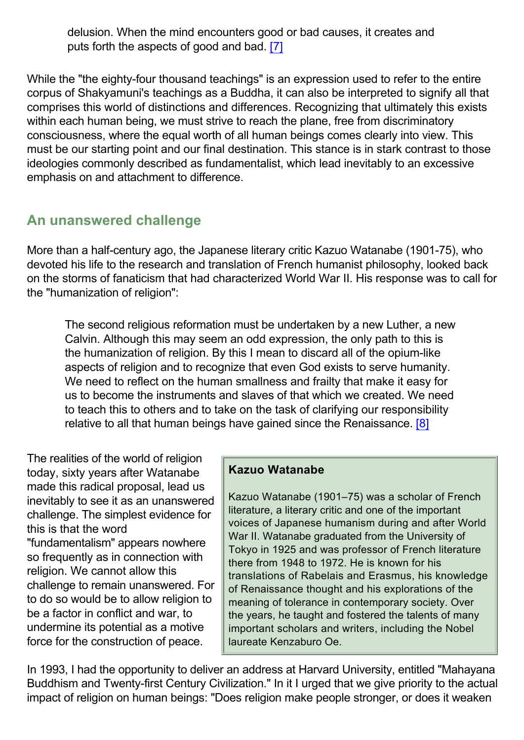delusion. When the mind encounters good or bad causes, it creates and puts forth the aspects of good and bad. [\[7\]](#page-24-0)

While the "the eighty-four thousand teachings" is an expression used to refer to the entire corpus of Shakyamuni's teachings as a Buddha, it can also be interpreted to signify all that comprises this world of distinctions and differences. Recognizing that ultimately this exists within each human being, we must strive to reach the plane, free from discriminatory consciousness, where the equal worth of all human beings comes clearly into view. This must be our starting point and our final destination. This stance is in stark contrast to those ideologies commonly described as fundamentalist, which lead inevitably to an excessive emphasis on and attachment to difference.

# An unanswered challenge

More than a half-century ago, the Japanese literary critic Kazuo Watanabe (1901-75), who devoted his life to the research and translation of French humanist philosophy, looked back on the storms of fanaticism that had characterized World War II. His response was to call for the "humanization of religion":

The second religious reformation must be undertaken by a new Luther, a new Calvin. Although this may seem an odd expression, the only path to this is the humanization of religion. By this I mean to discard all of the opium-like aspects of religion and to recognize that even God exists to serve humanity. We need to reflect on the human smallness and frailty that make it easy for us to become the instruments and slaves of that which we created. We need to teach this to others and to take on the task of clarifying our responsibility relative to all that human beings have gained since the Renaissance. [\[8\]](#page-24-0)

The realities of the world of religion today, sixty years after Watanabe made this radical proposal, lead us inevitably to see it as an unanswered challenge. The simplest evidence for this is that the word "fundamentalism" appears nowhere so frequently as in connection with religion. We cannot allow this challenge to remain unanswered. For to do so would be to allow religion to be a factor in conflict and war, to undermine its potential as a motive force for the construction of peace.

#### Kazuo Watanabe

Kazuo Watanabe (1901–75) was a scholar of French literature, a literary critic and one of the important voices of Japanese humanism during and after World War II. Watanabe graduated from the University of Tokyo in 1925 and was professor of French literature there from 1948 to 1972. He is known for his translations of Rabelais and Erasmus, his knowledge of Renaissance thought and his explorations of the meaning of tolerance in contemporary society. Over the years, he taught and fostered the talents of many important scholars and writers, including the Nobel laureate Kenzaburo Oe.

In 1993, I had the opportunity to deliver an address at Harvard University, entitled "Mahayana Buddhism and Twenty-first Century Civilization." In it I urged that we give priority to the actual impact of religion on human beings: "Does religion make people stronger, or does it weaken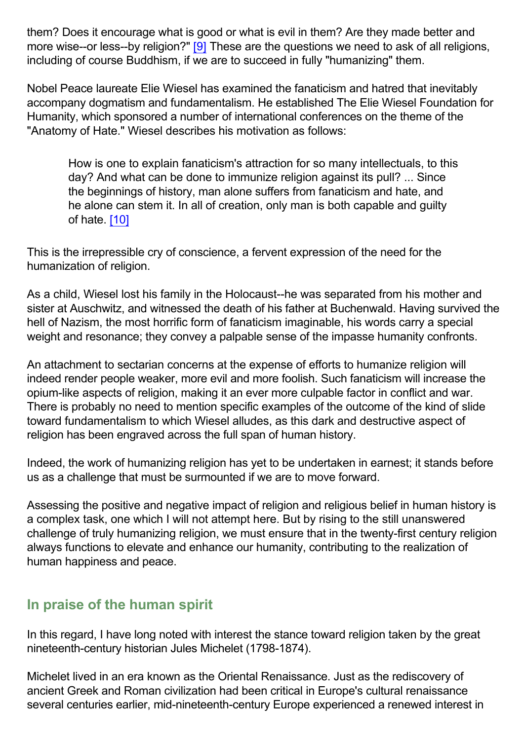them? Does it encourage what is good or what is evil in them? Are they made better and more wise--or less--by religion?" [\[9\]](#page-24-0) These are the questions we need to ask of all religions, including of course Buddhism, if we are to succeed in fully "humanizing" them.

Nobel Peace laureate Elie Wiesel has examined the fanaticism and hatred that inevitably accompany dogmatism and fundamentalism. He established The Elie Wiesel Foundation for Humanity, which sponsored a number of international conferences on the theme of the "Anatomy of Hate." Wiesel describes his motivation as follows:

How is one to explain fanaticism's attraction for so many intellectuals, to this day? And what can be done to immunize religion against its pull? ... Since the beginnings of history, man alone suffers from fanaticism and hate, and he alone can stem it. In all of creation, only man is both capable and guilty of hate. [\[10\]](#page-24-0)

This is the irrepressible cry of conscience, a fervent expression of the need for the humanization of religion.

As a child, Wiesel lost his family in the Holocaust--he was separated from his mother and sister at Auschwitz, and witnessed the death of his father at Buchenwald. Having survived the hell of Nazism, the most horrific form of fanaticism imaginable, his words carry a special weight and resonance; they convey a palpable sense of the impasse humanity confronts.

An attachment to sectarian concerns at the expense of efforts to humanize religion will indeed render people weaker, more evil and more foolish. Such fanaticism will increase the opium-like aspects of religion, making it an ever more culpable factor in conflict and war. There is probably no need to mention specific examples of the outcome of the kind of slide toward fundamentalism to which Wiesel alludes, as this dark and destructive aspect of religion has been engraved across the full span of human history.

Indeed, the work of humanizing religion has yet to be undertaken in earnest; it stands before us as a challenge that must be surmounted if we are to move forward.

Assessing the positive and negative impact of religion and religious belief in human history is a complex task, one which I will not attempt here. But by rising to the still unanswered challenge of truly humanizing religion, we must ensure that in the twenty-first century religion always functions to elevate and enhance our humanity, contributing to the realization of human happiness and peace.

## In praise of the human spirit

In this regard, I have long noted with interest the stance toward religion taken by the great nineteenth-century historian Jules Michelet (1798-1874).

Michelet lived in an era known as the Oriental Renaissance. Just as the rediscovery of ancient Greek and Roman civilization had been critical in Europe's cultural renaissance several centuries earlier, mid-nineteenth-century Europe experienced a renewed interest in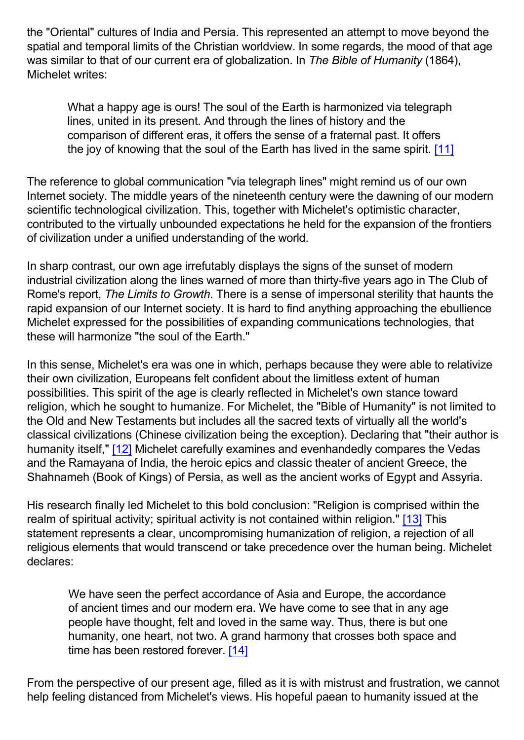the "Oriental" cultures of India and Persia. This represented an attempt to move beyond the spatial and temporal limits of the Christian worldview. In some regards, the mood of that age was similar to that of our current era of globalization. In *The Bible of Humanity* (1864), Michelet writes:

What a happy age is ours! The soul of the Earth is harmonized via telegraph lines, united in its present. And through the lines of history and the comparison of different eras, it offers the sense of a fraternal past. It offers the joy of knowing that the soul of the Earth has lived in the same spirit. [\[11\]](#page-25-0)

The reference to global communication "via telegraph lines" might remind us of our own Internet society. The middle years of the nineteenth century were the dawning of our modern scientific technological civilization. This, together with Michelet's optimistic character, contributed to the virtually unbounded expectations he held for the expansion of the frontiers of civilization under a unified understanding of the world.

In sharp contrast, our own age irrefutably displays the signs of the sunset of modern industrial civilization along the lines warned of more than thirty-five years ago in The Club of Rome's report, *The Limits to Growth*. There is a sense of impersonal sterility that haunts the rapid expansion of our Internet society. It is hard to find anything approaching the ebullience Michelet expressed for the possibilities of expanding communications technologies, that these will harmonize "the soul of the Earth."

In this sense, Michelet's era was one in which, perhaps because they were able to relativize their own civilization, Europeans felt confident about the limitless extent of human possibilities. This spirit of the age is clearly reflected in Michelet's own stance toward religion, which he sought to humanize. For Michelet, the "Bible of Humanity" is not limited to the Old and New Testaments but includes all the sacred texts of virtually all the world's classical civilizations (Chinese civilization being the exception). Declaring that "their author is humanity itself," [\[12\]](#page-25-0) Michelet carefully examines and evenhandedly compares the Vedas and the Ramayana of India, the heroic epics and classic theater of ancient Greece, the Shahnameh (Book of Kings) of Persia, as well as the ancient works of Egypt and Assyria.

His research finally led Michelet to this bold conclusion: "Religion is comprised within the realm of spiritual activity; spiritual activity is not contained within religion." [\[13\]](#page-25-0) This statement represents a clear, uncompromising humanization of religion, a rejection of all religious elements that would transcend or take precedence over the human being. Michelet declares:

We have seen the perfect accordance of Asia and Europe, the accordance of ancient times and our modern era. We have come to see that in any age people have thought, felt and loved in the same way. Thus, there is but one humanity, one heart, not two. A grand harmony that crosses both space and time has been restored forever. [\[14\]](#page-25-0)

From the perspective of our present age, filled as it is with mistrust and frustration, we cannot help feeling distanced from Michelet's views. His hopeful paean to humanity issued at the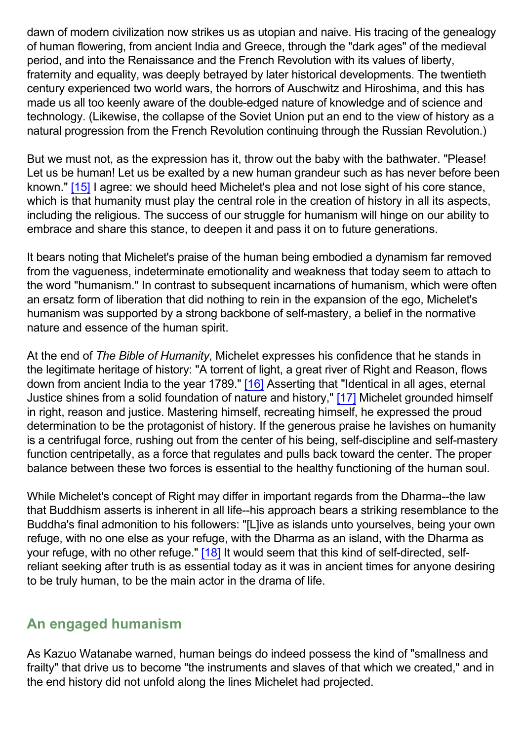dawn of modern civilization now strikes us as utopian and naive. His tracing of the genealogy of human flowering, from ancient India and Greece, through the "dark ages" of the medieval period, and into the Renaissance and the French Revolution with its values of liberty, fraternity and equality, was deeply betrayed by later historical developments. The twentieth century experienced two world wars, the horrors of Auschwitz and Hiroshima, and this has made us all too keenly aware of the double-edged nature of knowledge and of science and technology. (Likewise, the collapse of the Soviet Union put an end to the view of history as a natural progression from the French Revolution continuing through the Russian Revolution.)

But we must not, as the expression has it, throw out the baby with the bathwater. "Please! Let us be human! Let us be exalted by a new human grandeur such as has never before been known." [\[15\]](#page-25-0) I agree: we should heed Michelet's plea and not lose sight of his core stance, which is that humanity must play the central role in the creation of history in all its aspects, including the religious. The success of our struggle for humanism will hinge on our ability to embrace and share this stance, to deepen it and pass it on to future generations.

It bears noting that Michelet's praise of the human being embodied a dynamism far removed from the vagueness, indeterminate emotionality and weakness that today seem to attach to the word "humanism." In contrast to subsequent incarnations of humanism, which were often an ersatz form of liberation that did nothing to rein in the expansion of the ego, Michelet's humanism was supported by a strong backbone of self-mastery, a belief in the normative nature and essence of the human spirit.

At the end of *The Bible of Humanity*, Michelet expresses his confidence that he stands in the legitimate heritage of history: "A torrent of light, a great river of Right and Reason, flows down from ancient India to the year 1789." [\[16\]](#page-25-0) Asserting that "Identical in all ages, eternal Justice shines from a solid foundation of nature and history," [\[17\]](#page-25-0) Michelet grounded himself in right, reason and justice. Mastering himself, recreating himself, he expressed the proud determination to be the protagonist of history. If the generous praise he lavishes on humanity is a centrifugal force, rushing out from the center of his being, self-discipline and self-mastery function centripetally, as a force that regulates and pulls back toward the center. The proper balance between these two forces is essential to the healthy functioning of the human soul.

While Michelet's concept of Right may differ in important regards from the Dharma--the law that Buddhism asserts is inherent in all life--his approach bears a striking resemblance to the Buddha's final admonition to his followers: "[L]ive as islands unto yourselves, being your own refuge, with no one else as your refuge, with the Dharma as an island, with the Dharma as your refuge, with no other refuge." [\[18\]](#page-25-0) It would seem that this kind of self-directed, selfreliant seeking after truth is as essential today as it was in ancient times for anyone desiring to be truly human, to be the main actor in the drama of life.

### An engaged humanism

As Kazuo Watanabe warned, human beings do indeed possess the kind of "smallness and frailty" that drive us to become "the instruments and slaves of that which we created," and in the end history did not unfold along the lines Michelet had projected.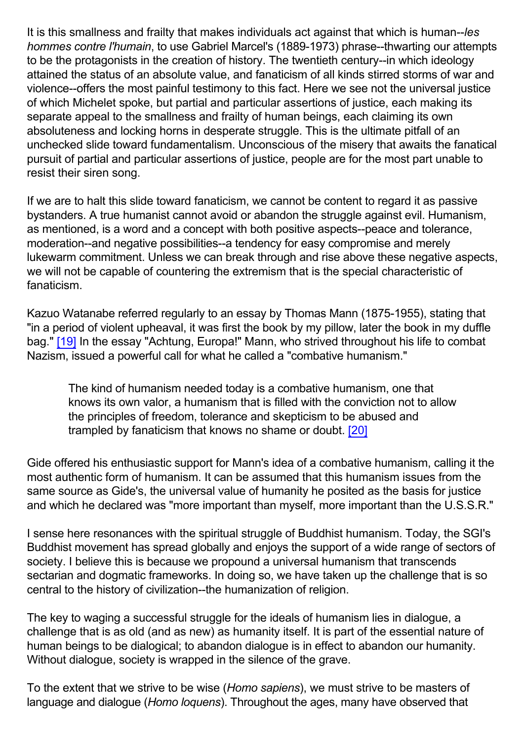It is this smallness and frailty that makes individuals act against that which is human--*les hommes contre l'humain*, to use Gabriel Marcel's (1889-1973) phrase--thwarting our attempts to be the protagonists in the creation of history. The twentieth century--in which ideology attained the status of an absolute value, and fanaticism of all kinds stirred storms of war and violence--offers the most painful testimony to this fact. Here we see not the universal justice of which Michelet spoke, but partial and particular assertions of justice, each making its separate appeal to the smallness and frailty of human beings, each claiming its own absoluteness and locking horns in desperate struggle. This is the ultimate pitfall of an unchecked slide toward fundamentalism. Unconscious of the misery that awaits the fanatical pursuit of partial and particular assertions of justice, people are for the most part unable to resist their siren song.

If we are to halt this slide toward fanaticism, we cannot be content to regard it as passive bystanders. A true humanist cannot avoid or abandon the struggle against evil. Humanism, as mentioned, is a word and a concept with both positive aspects--peace and tolerance, moderation--and negative possibilities--a tendency for easy compromise and merely lukewarm commitment. Unless we can break through and rise above these negative aspects, we will not be capable of countering the extremism that is the special characteristic of fanaticism.

Kazuo Watanabe referred regularly to an essay by Thomas Mann (1875-1955), stating that "in a period of violent upheaval, it was first the book by my pillow, later the book in my duffle bag." [\[19\]](#page-25-0) In the essay "Achtung, Europa!" Mann, who strived throughout his life to combat Nazism, issued a powerful call for what he called a "combative humanism."

The kind of humanism needed today is a combative humanism, one that knows its own valor, a humanism that is filled with the conviction not to allow the principles of freedom, tolerance and skepticism to be abused and trampled by fanaticism that knows no shame or doubt. [\[20\]](#page-25-0)

Gide offered his enthusiastic support for Mann's idea of a combative humanism, calling it the most authentic form of humanism. It can be assumed that this humanism issues from the same source as Gide's, the universal value of humanity he posited as the basis for justice and which he declared was "more important than myself, more important than the U.S.S.R."

I sense here resonances with the spiritual struggle of Buddhist humanism. Today, the SGI's Buddhist movement has spread globally and enjoys the support of a wide range of sectors of society. I believe this is because we propound a universal humanism that transcends sectarian and dogmatic frameworks. In doing so, we have taken up the challenge that is so central to the history of civilization--the humanization of religion.

The key to waging a successful struggle for the ideals of humanism lies in dialogue, a challenge that is as old (and as new) as humanity itself. It is part of the essential nature of human beings to be dialogical; to abandon dialogue is in effect to abandon our humanity. Without dialogue, society is wrapped in the silence of the grave.

To the extent that we strive to be wise (*Homo sapiens*), we must strive to be masters of language and dialogue (*Homo loquens*). Throughout the ages, many have observed that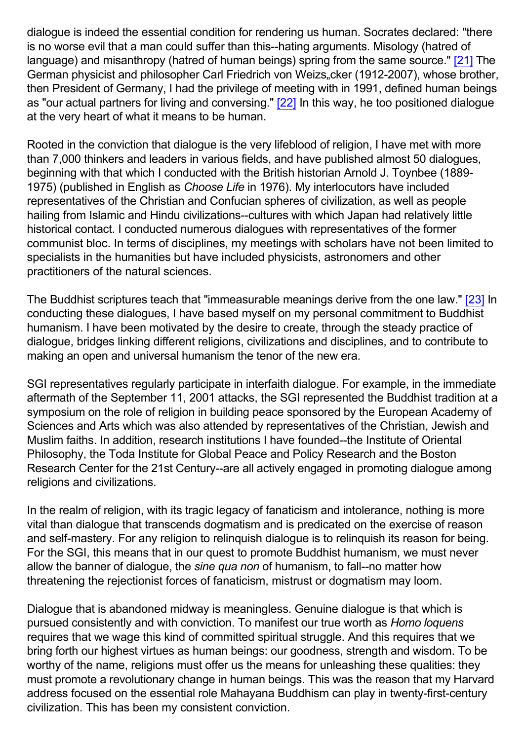dialogue is indeed the essential condition for rendering us human. Socrates declared: "there is no worse evil that a man could suffer than this--hating arguments. Misology (hatred of language) and misanthropy (hatred of human beings) spring from the same source." [\[21\]](#page-25-0) The German physicist and philosopher Carl Friedrich von Weizs, cker (1912-2007), whose brother, then President of Germany, I had the privilege of meeting with in 1991, defined human beings as "our actual partners for living and conversing." [\[22\]](#page-25-0) In this way, he too positioned dialogue at the very heart of what it means to be human.

Rooted in the conviction that dialogue is the very lifeblood of religion, I have met with more than 7,000 thinkers and leaders in various fields, and have published almost 50 dialogues, beginning with that which I conducted with the British historian Arnold J. Toynbee (1889- 1975) (published in English as *Choose Life* in 1976). My interlocutors have included representatives of the Christian and Confucian spheres of civilization, as well as people hailing from Islamic and Hindu civilizations--cultures with which Japan had relatively little historical contact. I conducted numerous dialogues with representatives of the former communist bloc. In terms of disciplines, my meetings with scholars have not been limited to specialists in the humanities but have included physicists, astronomers and other practitioners of the natural sciences.

The Buddhist scriptures teach that "immeasurable meanings derive from the one law." [\[23\]](#page-25-0) In conducting these dialogues, I have based myself on my personal commitment to Buddhist humanism. I have been motivated by the desire to create, through the steady practice of dialogue, bridges linking different religions, civilizations and disciplines, and to contribute to making an open and universal humanism the tenor of the new era.

SGI representatives regularly participate in interfaith dialogue. For example, in the immediate aftermath of the September 11, 2001 attacks, the SGI represented the Buddhist tradition at a symposium on the role of religion in building peace sponsored by the European Academy of Sciences and Arts which was also attended by representatives of the Christian, Jewish and Muslim faiths. In addition, research institutions I have founded--the Institute of Oriental Philosophy, the Toda Institute for Global Peace and Policy Research and the Boston Research Center for the 21st Century--are all actively engaged in promoting dialogue among religions and civilizations.

In the realm of religion, with its tragic legacy of fanaticism and intolerance, nothing is more vital than dialogue that transcends dogmatism and is predicated on the exercise of reason and self-mastery. For any religion to relinquish dialogue is to relinquish its reason for being. For the SGI, this means that in our quest to promote Buddhist humanism, we must never allow the banner of dialogue, the *sine qua non* of humanism, to fall--no matter how threatening the rejectionist forces of fanaticism, mistrust or dogmatism may loom.

Dialogue that is abandoned midway is meaningless. Genuine dialogue is that which is pursued consistently and with conviction. To manifest our true worth as *Homo loquens* requires that we wage this kind of committed spiritual struggle. And this requires that we bring forth our highest virtues as human beings: our goodness, strength and wisdom. To be worthy of the name, religions must offer us the means for unleashing these qualities: they must promote a revolutionary change in human beings. This was the reason that my Harvard address focused on the essential role Mahayana Buddhism can play in twenty-first-century civilization. This has been my consistent conviction.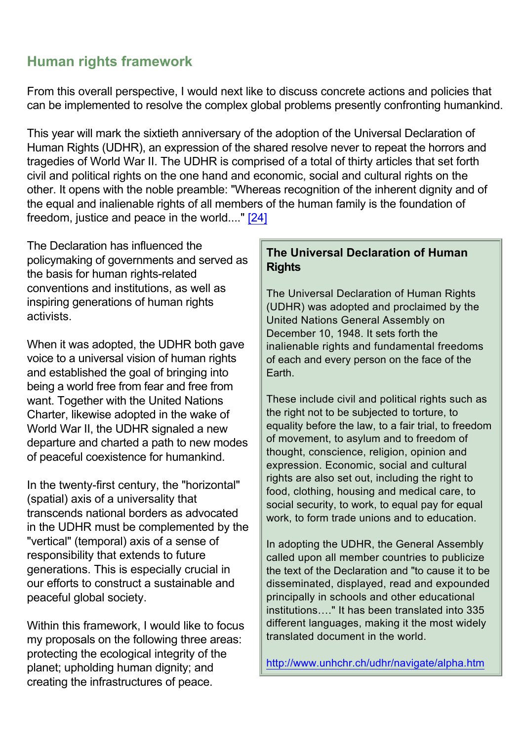# Human rights framework

From this overall perspective, I would next like to discuss concrete actions and policies that can be implemented to resolve the complex global problems presently confronting humankind.

This year will mark the sixtieth anniversary of the adoption of the Universal Declaration of Human Rights (UDHR), an expression of the shared resolve never to repeat the horrors and tragedies of World War II. The UDHR is comprised of a total of thirty articles that set forth civil and political rights on the one hand and economic, social and cultural rights on the other. It opens with the noble preamble: "Whereas recognition of the inherent dignity and of the equal and inalienable rights of all members of the human family is the foundation of freedom, justice and peace in the world...." [\[24\]](#page-25-0)

The Declaration has influenced the policymaking of governments and served as the basis for human rights-related conventions and institutions, as well as inspiring generations of human rights activists.

When it was adopted, the UDHR both gave voice to a universal vision of human rights and established the goal of bringing into being a world free from fear and free from want. Together with the United Nations Charter, likewise adopted in the wake of World War II, the UDHR signaled a new departure and charted a path to new modes of peaceful coexistence for humankind.

In the twenty-first century, the "horizontal" (spatial) axis of a universality that transcends national borders as advocated in the UDHR must be complemented by the "vertical" (temporal) axis of a sense of responsibility that extends to future generations. This is especially crucial in our efforts to construct a sustainable and peaceful global society.

Within this framework, I would like to focus my proposals on the following three areas: protecting the ecological integrity of the planet; upholding human dignity; and creating the infrastructures of peace.

#### The Universal Declaration of Human **Rights**

The Universal Declaration of Human Rights (UDHR) was adopted and proclaimed by the United Nations General Assembly on December 10, 1948. It sets forth the inalienable rights and fundamental freedoms of each and every person on the face of the **Farth** 

These include civil and political rights such as the right not to be subjected to torture, to equality before the law, to a fair trial, to freedom of movement, to asylum and to freedom of thought, conscience, religion, opinion and expression. Economic, social and cultural rights are also set out, including the right to food, clothing, housing and medical care, to social security, to work, to equal pay for equal work, to form trade unions and to education.

In adopting the UDHR, the General Assembly called upon all member countries to publicize the text of the Declaration and "to cause it to be disseminated, displayed, read and expounded principally in schools and other educational institutions…." It has been translated into 335 different languages, making it the most widely translated document in the world.

<http://www.unhchr.ch/udhr/navigate/alpha.htm>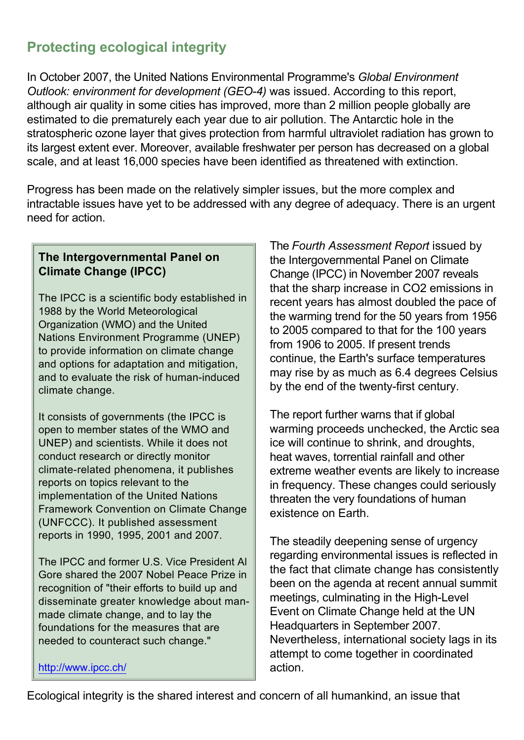# Protecting ecological integrity

In October 2007, the United Nations Environmental Programme's *Global Environment Outlook: environment for development (GEO-4)* was issued. According to this report, although air quality in some cities has improved, more than 2 million people globally are estimated to die prematurely each year due to air pollution. The Antarctic hole in the stratospheric ozone layer that gives protection from harmful ultraviolet radiation has grown to its largest extent ever. Moreover, available freshwater per person has decreased on a global scale, and at least 16,000 species have been identified as threatened with extinction.

Progress has been made on the relatively simpler issues, but the more complex and intractable issues have yet to be addressed with any degree of adequacy. There is an urgent need for action.

#### The Intergovernmental Panel on Climate Change (IPCC)

The IPCC is a scientific body established in 1988 by the World Meteorological Organization (WMO) and the United Nations Environment Programme (UNEP) to provide information on climate change and options for adaptation and mitigation, and to evaluate the risk of human-induced climate change.

It consists of governments (the IPCC is open to member states of the WMO and UNEP) and scientists. While it does not conduct research or directly monitor climate-related phenomena, it publishes reports on topics relevant to the implementation of the United Nations Framework Convention on Climate Change (UNFCCC). It published assessment reports in 1990, 1995, 2001 and 2007.

The IPCC and former U.S. Vice President Al Gore shared the 2007 Nobel Peace Prize in recognition of "their efforts to build up and disseminate greater knowledge about manmade climate change, and to lay the foundations for the measures that are needed to counteract such change."

<http://www.ipcc.ch/>

The *Fourth Assessment Report* issued by the Intergovernmental Panel on Climate Change (IPCC) in November 2007 reveals that the sharp increase in CO2 emissions in recent years has almost doubled the pace of the warming trend for the 50 years from 1956 to 2005 compared to that for the 100 years from 1906 to 2005. If present trends continue, the Earth's surface temperatures may rise by as much as 6.4 degrees Celsius by the end of the twenty-first century.

The report further warns that if global warming proceeds unchecked, the Arctic sea ice will continue to shrink, and droughts, heat waves, torrential rainfall and other extreme weather events are likely to increase in frequency. These changes could seriously threaten the very foundations of human existence on Earth.

The steadily deepening sense of urgency regarding environmental issues is reflected in the fact that climate change has consistently been on the agenda at recent annual summit meetings, culminating in the High-Level Event on Climate Change held at the UN Headquarters in September 2007. Nevertheless, international society lags in its attempt to come together in coordinated action.

Ecological integrity is the shared interest and concern of all humankind, an issue that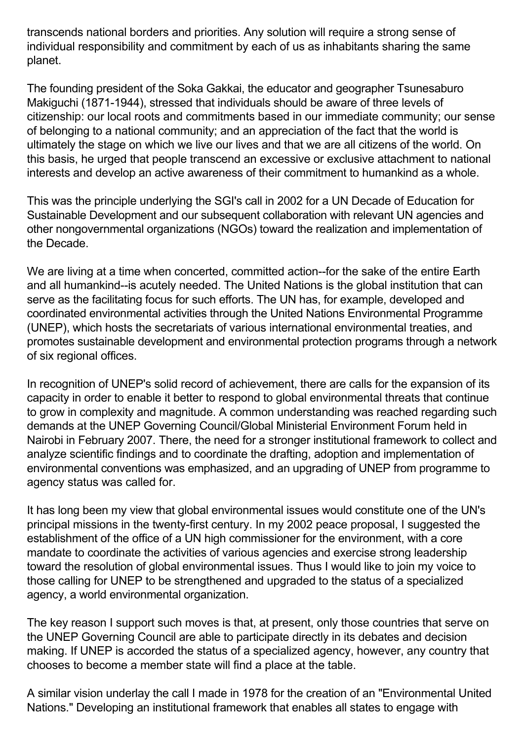transcends national borders and priorities. Any solution will require a strong sense of individual responsibility and commitment by each of us as inhabitants sharing the same planet.

The founding president of the Soka Gakkai, the educator and geographer Tsunesaburo Makiguchi (1871-1944), stressed that individuals should be aware of three levels of citizenship: our local roots and commitments based in our immediate community; our sense of belonging to a national community; and an appreciation of the fact that the world is ultimately the stage on which we live our lives and that we are all citizens of the world. On this basis, he urged that people transcend an excessive or exclusive attachment to national interests and develop an active awareness of their commitment to humankind as a whole.

This was the principle underlying the SGI's call in 2002 for a UN Decade of Education for Sustainable Development and our subsequent collaboration with relevant UN agencies and other nongovernmental organizations (NGOs) toward the realization and implementation of the Decade.

We are living at a time when concerted, committed action--for the sake of the entire Earth and all humankind--is acutely needed. The United Nations is the global institution that can serve as the facilitating focus for such efforts. The UN has, for example, developed and coordinated environmental activities through the United Nations Environmental Programme (UNEP), which hosts the secretariats of various international environmental treaties, and promotes sustainable development and environmental protection programs through a network of six regional offices.

In recognition of UNEP's solid record of achievement, there are calls for the expansion of its capacity in order to enable it better to respond to global environmental threats that continue to grow in complexity and magnitude. A common understanding was reached regarding such demands at the UNEP Governing Council/Global Ministerial Environment Forum held in Nairobi in February 2007. There, the need for a stronger institutional framework to collect and analyze scientific findings and to coordinate the drafting, adoption and implementation of environmental conventions was emphasized, and an upgrading of UNEP from programme to agency status was called for.

It has long been my view that global environmental issues would constitute one of the UN's principal missions in the twenty-first century. In my 2002 peace proposal, I suggested the establishment of the office of a UN high commissioner for the environment, with a core mandate to coordinate the activities of various agencies and exercise strong leadership toward the resolution of global environmental issues. Thus I would like to join my voice to those calling for UNEP to be strengthened and upgraded to the status of a specialized agency, a world environmental organization.

The key reason I support such moves is that, at present, only those countries that serve on the UNEP Governing Council are able to participate directly in its debates and decision making. If UNEP is accorded the status of a specialized agency, however, any country that chooses to become a member state will find a place at the table.

A similar vision underlay the call I made in 1978 for the creation of an "Environmental United Nations." Developing an institutional framework that enables all states to engage with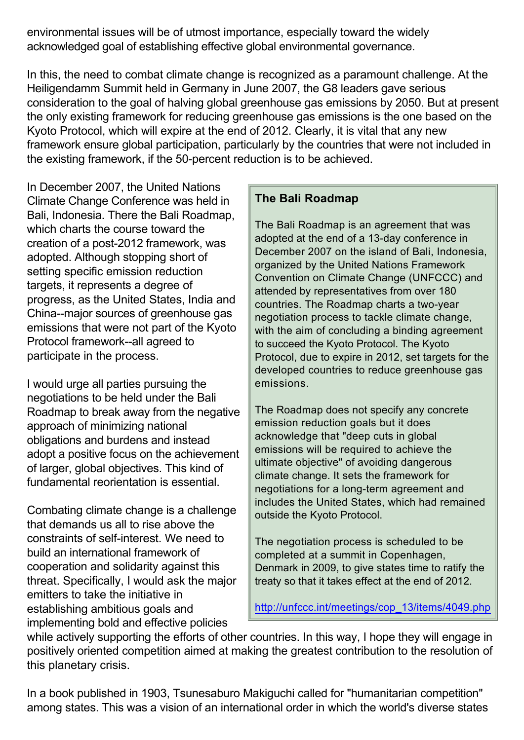environmental issues will be of utmost importance, especially toward the widely acknowledged goal of establishing effective global environmental governance.

In this, the need to combat climate change is recognized as a paramount challenge. At the Heiligendamm Summit held in Germany in June 2007, the G8 leaders gave serious consideration to the goal of halving global greenhouse gas emissions by 2050. But at present the only existing framework for reducing greenhouse gas emissions is the one based on the Kyoto Protocol, which will expire at the end of 2012. Clearly, it is vital that any new framework ensure global participation, particularly by the countries that were not included in the existing framework, if the 50-percent reduction is to be achieved.

In December 2007, the United Nations Climate Change Conference was held in Bali, Indonesia. There the Bali Roadmap, which charts the course toward the creation of a post-2012 framework, was adopted. Although stopping short of setting specific emission reduction targets, it represents a degree of progress, as the United States, India and China--major sources of greenhouse gas emissions that were not part of the Kyoto Protocol framework--all agreed to participate in the process.

I would urge all parties pursuing the negotiations to be held under the Bali Roadmap to break away from the negative approach of minimizing national obligations and burdens and instead adopt a positive focus on the achievement of larger, global objectives. This kind of fundamental reorientation is essential.

Combating climate change is a challenge that demands us all to rise above the constraints of self-interest. We need to build an international framework of cooperation and solidarity against this threat. Specifically, I would ask the major emitters to take the initiative in establishing ambitious goals and implementing bold and effective policies

### The Bali Roadmap

The Bali Roadmap is an agreement that was adopted at the end of a 13-day conference in December 2007 on the island of Bali, Indonesia, organized by the United Nations Framework Convention on Climate Change (UNFCCC) and attended by representatives from over 180 countries. The Roadmap charts a two-year negotiation process to tackle climate change, with the aim of concluding a binding agreement to succeed the Kyoto Protocol. The Kyoto Protocol, due to expire in 2012, set targets for the developed countries to reduce greenhouse gas emissions.

The Roadmap does not specify any concrete emission reduction goals but it does acknowledge that "deep cuts in global emissions will be required to achieve the ultimate objective" of avoiding dangerous climate change. It sets the framework for negotiations for a long-term agreement and includes the United States, which had remained outside the Kyoto Protocol.

The negotiation process is scheduled to be completed at a summit in Copenhagen, Denmark in 2009, to give states time to ratify the treaty so that it takes effect at the end of 2012.

[http://unfccc.int/meetings/cop\\_13/items/4049.php](http://unfccc.int/meetings/cop_13/items/4049.php)

while actively supporting the efforts of other countries. In this way, I hope they will engage in positively oriented competition aimed at making the greatest contribution to the resolution of this planetary crisis.

In a book published in 1903, Tsunesaburo Makiguchi called for "humanitarian competition" among states. This was a vision of an international order in which the world's diverse states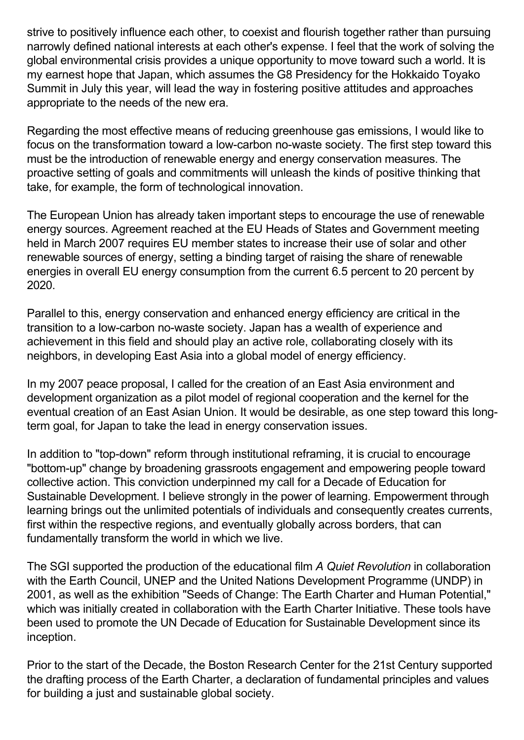strive to positively influence each other, to coexist and flourish together rather than pursuing narrowly defined national interests at each other's expense. I feel that the work of solving the global environmental crisis provides a unique opportunity to move toward such a world. It is my earnest hope that Japan, which assumes the G8 Presidency for the Hokkaido Toyako Summit in July this year, will lead the way in fostering positive attitudes and approaches appropriate to the needs of the new era.

Regarding the most effective means of reducing greenhouse gas emissions, I would like to focus on the transformation toward a low-carbon no-waste society. The first step toward this must be the introduction of renewable energy and energy conservation measures. The proactive setting of goals and commitments will unleash the kinds of positive thinking that take, for example, the form of technological innovation.

The European Union has already taken important steps to encourage the use of renewable energy sources. Agreement reached at the EU Heads of States and Government meeting held in March 2007 requires EU member states to increase their use of solar and other renewable sources of energy, setting a binding target of raising the share of renewable energies in overall EU energy consumption from the current 6.5 percent to 20 percent by 2020.

Parallel to this, energy conservation and enhanced energy efficiency are critical in the transition to a low-carbon no-waste society. Japan has a wealth of experience and achievement in this field and should play an active role, collaborating closely with its neighbors, in developing East Asia into a global model of energy efficiency.

In my 2007 peace proposal, I called for the creation of an East Asia environment and development organization as a pilot model of regional cooperation and the kernel for the eventual creation of an East Asian Union. It would be desirable, as one step toward this longterm goal, for Japan to take the lead in energy conservation issues.

In addition to "top-down" reform through institutional reframing, it is crucial to encourage "bottom-up" change by broadening grassroots engagement and empowering people toward collective action. This conviction underpinned my call for a Decade of Education for Sustainable Development. I believe strongly in the power of learning. Empowerment through learning brings out the unlimited potentials of individuals and consequently creates currents, first within the respective regions, and eventually globally across borders, that can fundamentally transform the world in which we live.

The SGI supported the production of the educational film *A Quiet Revolution* in collaboration with the Earth Council, UNEP and the United Nations Development Programme (UNDP) in 2001, as well as the exhibition "Seeds of Change: The Earth Charter and Human Potential," which was initially created in collaboration with the Earth Charter Initiative. These tools have been used to promote the UN Decade of Education for Sustainable Development since its inception.

Prior to the start of the Decade, the Boston Research Center for the 21st Century supported the drafting process of the Earth Charter, a declaration of fundamental principles and values for building a just and sustainable global society.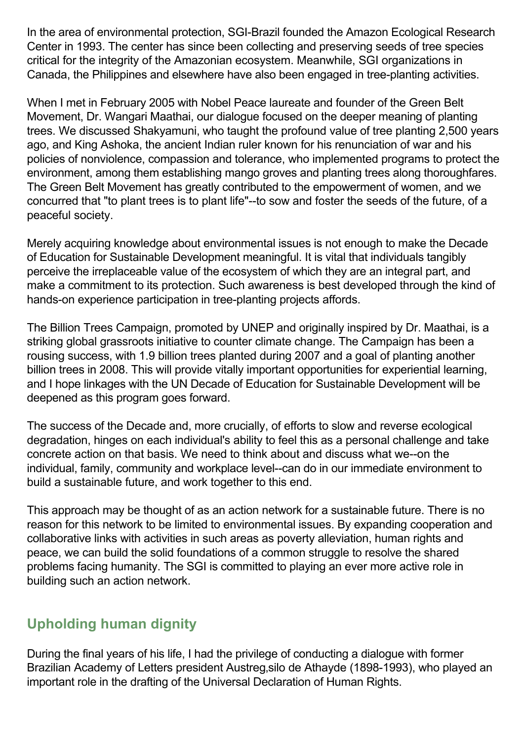In the area of environmental protection, SGI-Brazil founded the Amazon Ecological Research Center in 1993. The center has since been collecting and preserving seeds of tree species critical for the integrity of the Amazonian ecosystem. Meanwhile, SGI organizations in Canada, the Philippines and elsewhere have also been engaged in tree-planting activities.

When I met in February 2005 with Nobel Peace laureate and founder of the Green Belt Movement, Dr. Wangari Maathai, our dialogue focused on the deeper meaning of planting trees. We discussed Shakyamuni, who taught the profound value of tree planting 2,500 years ago, and King Ashoka, the ancient Indian ruler known for his renunciation of war and his policies of nonviolence, compassion and tolerance, who implemented programs to protect the environment, among them establishing mango groves and planting trees along thoroughfares. The Green Belt Movement has greatly contributed to the empowerment of women, and we concurred that "to plant trees is to plant life"--to sow and foster the seeds of the future, of a peaceful society.

Merely acquiring knowledge about environmental issues is not enough to make the Decade of Education for Sustainable Development meaningful. It is vital that individuals tangibly perceive the irreplaceable value of the ecosystem of which they are an integral part, and make a commitment to its protection. Such awareness is best developed through the kind of hands-on experience participation in tree-planting projects affords.

The Billion Trees Campaign, promoted by UNEP and originally inspired by Dr. Maathai, is a striking global grassroots initiative to counter climate change. The Campaign has been a rousing success, with 1.9 billion trees planted during 2007 and a goal of planting another billion trees in 2008. This will provide vitally important opportunities for experiential learning, and I hope linkages with the UN Decade of Education for Sustainable Development will be deepened as this program goes forward.

The success of the Decade and, more crucially, of efforts to slow and reverse ecological degradation, hinges on each individual's ability to feel this as a personal challenge and take concrete action on that basis. We need to think about and discuss what we--on the individual, family, community and workplace level--can do in our immediate environment to build a sustainable future, and work together to this end.

This approach may be thought of as an action network for a sustainable future. There is no reason for this network to be limited to environmental issues. By expanding cooperation and collaborative links with activities in such areas as poverty alleviation, human rights and peace, we can build the solid foundations of a common struggle to resolve the shared problems facing humanity. The SGI is committed to playing an ever more active role in building such an action network.

# Upholding human dignity

During the final years of his life, I had the privilege of conducting a dialogue with former Brazilian Academy of Letters president Austreg, silo de Athayde (1898-1993), who played an important role in the drafting of the Universal Declaration of Human Rights.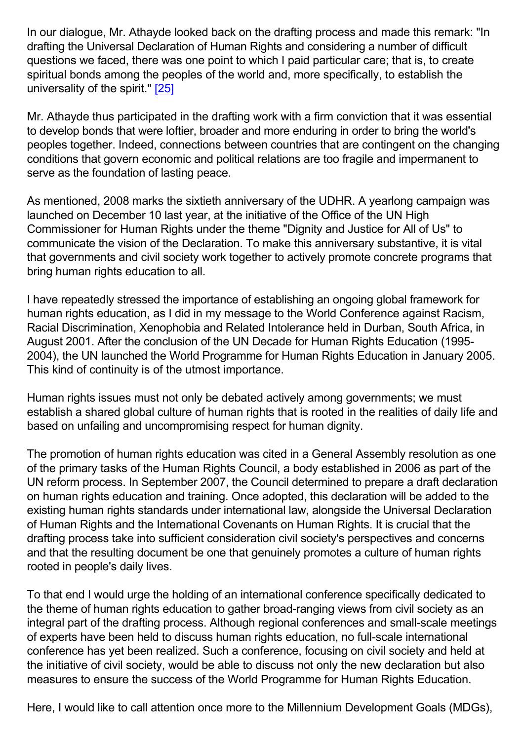In our dialogue, Mr. Athayde looked back on the drafting process and made this remark: "In drafting the Universal Declaration of Human Rights and considering a number of difficult questions we faced, there was one point to which I paid particular care; that is, to create spiritual bonds among the peoples of the world and, more specifically, to establish the universality of the spirit." [\[25\]](#page-25-0)

Mr. Athayde thus participated in the drafting work with a firm conviction that it was essential to develop bonds that were loftier, broader and more enduring in order to bring the world's peoples together. Indeed, connections between countries that are contingent on the changing conditions that govern economic and political relations are too fragile and impermanent to serve as the foundation of lasting peace.

As mentioned, 2008 marks the sixtieth anniversary of the UDHR. A yearlong campaign was launched on December 10 last year, at the initiative of the Office of the UN High Commissioner for Human Rights under the theme "Dignity and Justice for All of Us" to communicate the vision of the Declaration. To make this anniversary substantive, it is vital that governments and civil society work together to actively promote concrete programs that bring human rights education to all.

I have repeatedly stressed the importance of establishing an ongoing global framework for human rights education, as I did in my message to the World Conference against Racism, Racial Discrimination, Xenophobia and Related Intolerance held in Durban, South Africa, in August 2001. After the conclusion of the UN Decade for Human Rights Education (1995- 2004), the UN launched the World Programme for Human Rights Education in January 2005. This kind of continuity is of the utmost importance.

Human rights issues must not only be debated actively among governments; we must establish a shared global culture of human rights that is rooted in the realities of daily life and based on unfailing and uncompromising respect for human dignity.

The promotion of human rights education was cited in a General Assembly resolution as one of the primary tasks of the Human Rights Council, a body established in 2006 as part of the UN reform process. In September 2007, the Council determined to prepare a draft declaration on human rights education and training. Once adopted, this declaration will be added to the existing human rights standards under international law, alongside the Universal Declaration of Human Rights and the International Covenants on Human Rights. It is crucial that the drafting process take into sufficient consideration civil society's perspectives and concerns and that the resulting document be one that genuinely promotes a culture of human rights rooted in people's daily lives.

To that end I would urge the holding of an international conference specifically dedicated to the theme of human rights education to gather broad-ranging views from civil society as an integral part of the drafting process. Although regional conferences and small-scale meetings of experts have been held to discuss human rights education, no full-scale international conference has yet been realized. Such a conference, focusing on civil society and held at the initiative of civil society, would be able to discuss not only the new declaration but also measures to ensure the success of the World Programme for Human Rights Education.

Here, I would like to call attention once more to the Millennium Development Goals (MDGs),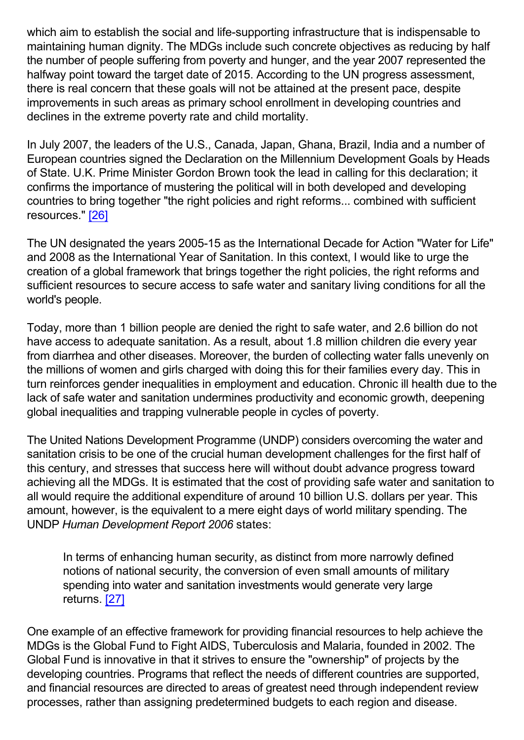which aim to establish the social and life-supporting infrastructure that is indispensable to maintaining human dignity. The MDGs include such concrete objectives as reducing by half the number of people suffering from poverty and hunger, and the year 2007 represented the halfway point toward the target date of 2015. According to the UN progress assessment, there is real concern that these goals will not be attained at the present pace, despite improvements in such areas as primary school enrollment in developing countries and declines in the extreme poverty rate and child mortality.

In July 2007, the leaders of the U.S., Canada, Japan, Ghana, Brazil, India and a number of European countries signed the Declaration on the Millennium Development Goals by Heads of State. U.K. Prime Minister Gordon Brown took the lead in calling for this declaration; it confirms the importance of mustering the political will in both developed and developing countries to bring together "the right policies and right reforms... combined with sufficient resources." [\[26\]](#page-25-0)

The UN designated the years 2005-15 as the International Decade for Action "Water for Life" and 2008 as the International Year of Sanitation. In this context, I would like to urge the creation of a global framework that brings together the right policies, the right reforms and sufficient resources to secure access to safe water and sanitary living conditions for all the world's people.

Today, more than 1 billion people are denied the right to safe water, and 2.6 billion do not have access to adequate sanitation. As a result, about 1.8 million children die every year from diarrhea and other diseases. Moreover, the burden of collecting water falls unevenly on the millions of women and girls charged with doing this for their families every day. This in turn reinforces gender inequalities in employment and education. Chronic ill health due to the lack of safe water and sanitation undermines productivity and economic growth, deepening global inequalities and trapping vulnerable people in cycles of poverty.

The United Nations Development Programme (UNDP) considers overcoming the water and sanitation crisis to be one of the crucial human development challenges for the first half of this century, and stresses that success here will without doubt advance progress toward achieving all the MDGs. It is estimated that the cost of providing safe water and sanitation to all would require the additional expenditure of around 10 billion U.S. dollars per year. This amount, however, is the equivalent to a mere eight days of world military spending. The UNDP *Human Development Report 2006* states:

In terms of enhancing human security, as distinct from more narrowly defined notions of national security, the conversion of even small amounts of military spending into water and sanitation investments would generate very large returns. [\[27\]](#page-25-0)

One example of an effective framework for providing financial resources to help achieve the MDGs is the Global Fund to Fight AIDS, Tuberculosis and Malaria, founded in 2002. The Global Fund is innovative in that it strives to ensure the "ownership" of projects by the developing countries. Programs that reflect the needs of different countries are supported, and financial resources are directed to areas of greatest need through independent review processes, rather than assigning predetermined budgets to each region and disease.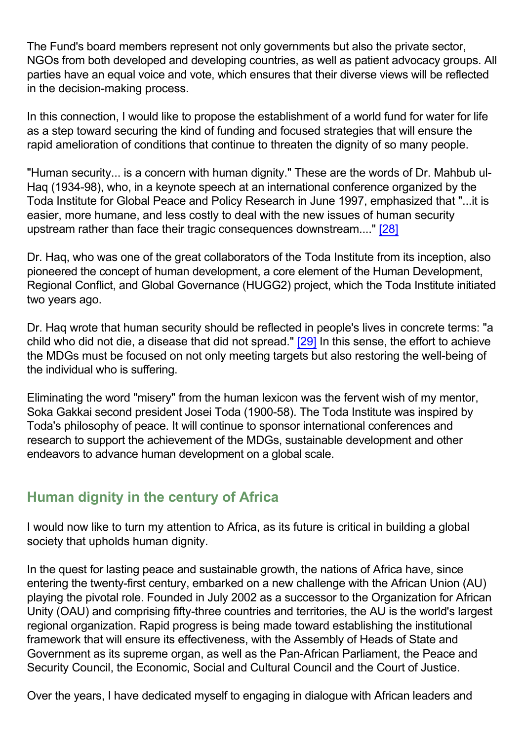The Fund's board members represent not only governments but also the private sector, NGOs from both developed and developing countries, as well as patient advocacy groups. All parties have an equal voice and vote, which ensures that their diverse views will be reflected in the decision-making process.

In this connection, I would like to propose the establishment of a world fund for water for life as a step toward securing the kind of funding and focused strategies that will ensure the rapid amelioration of conditions that continue to threaten the dignity of so many people.

"Human security... is a concern with human dignity." These are the words of Dr. Mahbub ul-Haq (1934-98), who, in a keynote speech at an international conference organized by the Toda Institute for Global Peace and Policy Research in June 1997, emphasized that "...it is easier, more humane, and less costly to deal with the new issues of human security upstream rather than face their tragic consequences downstream...." [\[28\]](#page-25-0)

Dr. Haq, who was one of the great collaborators of the Toda Institute from its inception, also pioneered the concept of human development, a core element of the Human Development, Regional Conflict, and Global Governance (HUGG2) project, which the Toda Institute initiated two years ago.

Dr. Haq wrote that human security should be reflected in people's lives in concrete terms: "a child who did not die, a disease that did not spread." [\[29\]](#page-25-0) In this sense, the effort to achieve the MDGs must be focused on not only meeting targets but also restoring the well-being of the individual who is suffering.

Eliminating the word "misery" from the human lexicon was the fervent wish of my mentor, Soka Gakkai second president Josei Toda (1900-58). The Toda Institute was inspired by Toda's philosophy of peace. It will continue to sponsor international conferences and research to support the achievement of the MDGs, sustainable development and other endeavors to advance human development on a global scale.

# Human dignity in the century of Africa

I would now like to turn my attention to Africa, as its future is critical in building a global society that upholds human dignity.

In the quest for lasting peace and sustainable growth, the nations of Africa have, since entering the twenty-first century, embarked on a new challenge with the African Union (AU) playing the pivotal role. Founded in July 2002 as a successor to the Organization for African Unity (OAU) and comprising fifty-three countries and territories, the AU is the world's largest regional organization. Rapid progress is being made toward establishing the institutional framework that will ensure its effectiveness, with the Assembly of Heads of State and Government as its supreme organ, as well as the Pan-African Parliament, the Peace and Security Council, the Economic, Social and Cultural Council and the Court of Justice.

Over the years, I have dedicated myself to engaging in dialogue with African leaders and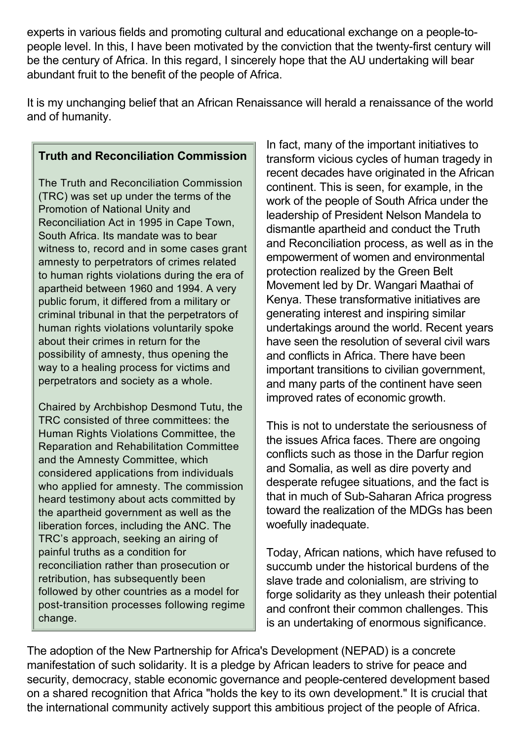experts in various fields and promoting cultural and educational exchange on a people-topeople level. In this, I have been motivated by the conviction that the twenty-first century will be the century of Africa. In this regard, I sincerely hope that the AU undertaking will bear abundant fruit to the benefit of the people of Africa.

It is my unchanging belief that an African Renaissance will herald a renaissance of the world and of humanity.

### Truth and Reconciliation Commission

The Truth and Reconciliation Commission (TRC) was set up under the terms of the Promotion of National Unity and Reconciliation Act in 1995 in Cape Town, South Africa. Its mandate was to bear witness to, record and in some cases grant amnesty to perpetrators of crimes related to human rights violations during the era of apartheid between 1960 and 1994. A very public forum, it differed from a military or criminal tribunal in that the perpetrators of human rights violations voluntarily spoke about their crimes in return for the possibility of amnesty, thus opening the way to a healing process for victims and perpetrators and society as a whole.

Chaired by Archbishop Desmond Tutu, the TRC consisted of three committees: the Human Rights Violations Committee, the Reparation and Rehabilitation Committee and the Amnesty Committee, which considered applications from individuals who applied for amnesty. The commission heard testimony about acts committed by the apartheid government as well as the liberation forces, including the ANC. The TRC's approach, seeking an airing of painful truths as a condition for reconciliation rather than prosecution or retribution, has subsequently been followed by other countries as a model for post-transition processes following regime change.

In fact, many of the important initiatives to transform vicious cycles of human tragedy in recent decades have originated in the African continent. This is seen, for example, in the work of the people of South Africa under the leadership of President Nelson Mandela to dismantle apartheid and conduct the Truth and Reconciliation process, as well as in the empowerment of women and environmental protection realized by the Green Belt Movement led by Dr. Wangari Maathai of Kenya. These transformative initiatives are generating interest and inspiring similar undertakings around the world. Recent years have seen the resolution of several civil wars and conflicts in Africa. There have been important transitions to civilian government, and many parts of the continent have seen improved rates of economic growth.

This is not to understate the seriousness of the issues Africa faces. There are ongoing conflicts such as those in the Darfur region and Somalia, as well as dire poverty and desperate refugee situations, and the fact is that in much of Sub-Saharan Africa progress toward the realization of the MDGs has been woefully inadequate.

Today, African nations, which have refused to succumb under the historical burdens of the slave trade and colonialism, are striving to forge solidarity as they unleash their potential and confront their common challenges. This is an undertaking of enormous significance.

The adoption of the New Partnership for Africa's Development (NEPAD) is a concrete manifestation of such solidarity. It is a pledge by African leaders to strive for peace and security, democracy, stable economic governance and people-centered development based on a shared recognition that Africa "holds the key to its own development." It is crucial that the international community actively support this ambitious project of the people of Africa.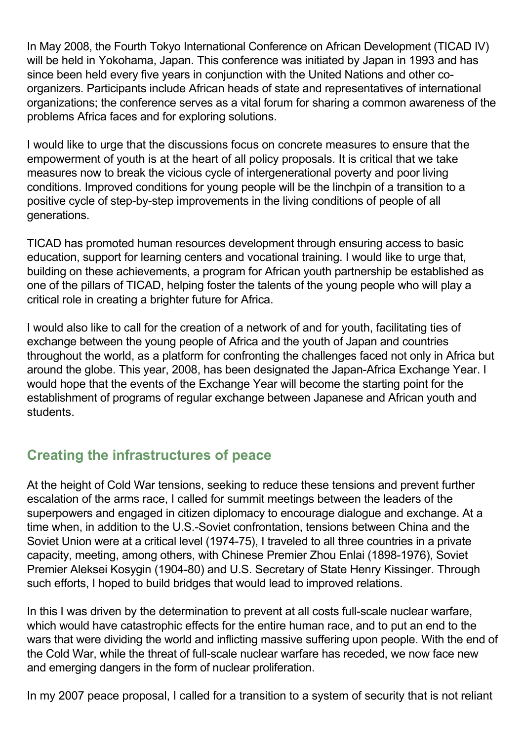In May 2008, the Fourth Tokyo International Conference on African Development (TICAD IV) will be held in Yokohama, Japan. This conference was initiated by Japan in 1993 and has since been held every five years in conjunction with the United Nations and other coorganizers. Participants include African heads of state and representatives of international organizations; the conference serves as a vital forum for sharing a common awareness of the problems Africa faces and for exploring solutions.

I would like to urge that the discussions focus on concrete measures to ensure that the empowerment of youth is at the heart of all policy proposals. It is critical that we take measures now to break the vicious cycle of intergenerational poverty and poor living conditions. Improved conditions for young people will be the linchpin of a transition to a positive cycle of step-by-step improvements in the living conditions of people of all generations.

TICAD has promoted human resources development through ensuring access to basic education, support for learning centers and vocational training. I would like to urge that, building on these achievements, a program for African youth partnership be established as one of the pillars of TICAD, helping foster the talents of the young people who will play a critical role in creating a brighter future for Africa.

I would also like to call for the creation of a network of and for youth, facilitating ties of exchange between the young people of Africa and the youth of Japan and countries throughout the world, as a platform for confronting the challenges faced not only in Africa but around the globe. This year, 2008, has been designated the Japan-Africa Exchange Year. I would hope that the events of the Exchange Year will become the starting point for the establishment of programs of regular exchange between Japanese and African youth and students.

# Creating the infrastructures of peace

At the height of Cold War tensions, seeking to reduce these tensions and prevent further escalation of the arms race, I called for summit meetings between the leaders of the superpowers and engaged in citizen diplomacy to encourage dialogue and exchange. At a time when, in addition to the U.S.-Soviet confrontation, tensions between China and the Soviet Union were at a critical level (1974-75), I traveled to all three countries in a private capacity, meeting, among others, with Chinese Premier Zhou Enlai (1898-1976), Soviet Premier Aleksei Kosygin (1904-80) and U.S. Secretary of State Henry Kissinger. Through such efforts, I hoped to build bridges that would lead to improved relations.

In this I was driven by the determination to prevent at all costs full-scale nuclear warfare, which would have catastrophic effects for the entire human race, and to put an end to the wars that were dividing the world and inflicting massive suffering upon people. With the end of the Cold War, while the threat of full-scale nuclear warfare has receded, we now face new and emerging dangers in the form of nuclear proliferation.

In my 2007 peace proposal, I called for a transition to a system of security that is not reliant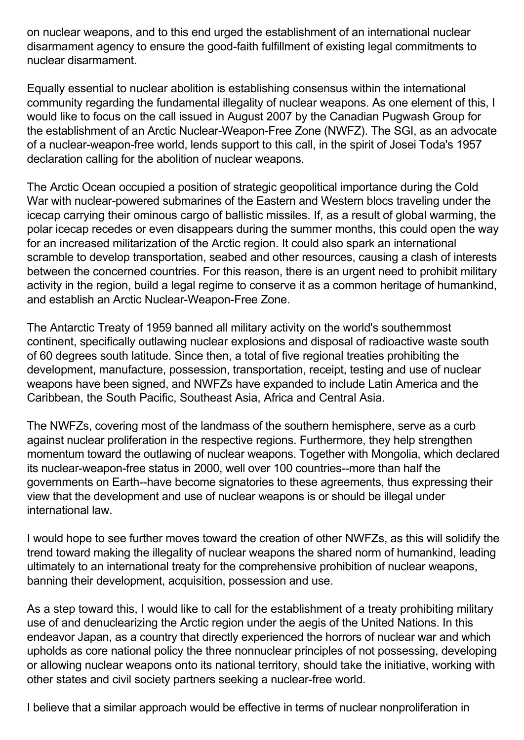on nuclear weapons, and to this end urged the establishment of an international nuclear disarmament agency to ensure the good-faith fulfillment of existing legal commitments to nuclear disarmament.

Equally essential to nuclear abolition is establishing consensus within the international community regarding the fundamental illegality of nuclear weapons. As one element of this, I would like to focus on the call issued in August 2007 by the Canadian Pugwash Group for the establishment of an Arctic Nuclear-Weapon-Free Zone (NWFZ). The SGI, as an advocate of a nuclear-weapon-free world, lends support to this call, in the spirit of Josei Toda's 1957 declaration calling for the abolition of nuclear weapons.

The Arctic Ocean occupied a position of strategic geopolitical importance during the Cold War with nuclear-powered submarines of the Eastern and Western blocs traveling under the icecap carrying their ominous cargo of ballistic missiles. If, as a result of global warming, the polar icecap recedes or even disappears during the summer months, this could open the way for an increased militarization of the Arctic region. It could also spark an international scramble to develop transportation, seabed and other resources, causing a clash of interests between the concerned countries. For this reason, there is an urgent need to prohibit military activity in the region, build a legal regime to conserve it as a common heritage of humankind, and establish an Arctic Nuclear-Weapon-Free Zone.

The Antarctic Treaty of 1959 banned all military activity on the world's southernmost continent, specifically outlawing nuclear explosions and disposal of radioactive waste south of 60 degrees south latitude. Since then, a total of five regional treaties prohibiting the development, manufacture, possession, transportation, receipt, testing and use of nuclear weapons have been signed, and NWFZs have expanded to include Latin America and the Caribbean, the South Pacific, Southeast Asia, Africa and Central Asia.

The NWFZs, covering most of the landmass of the southern hemisphere, serve as a curb against nuclear proliferation in the respective regions. Furthermore, they help strengthen momentum toward the outlawing of nuclear weapons. Together with Mongolia, which declared its nuclear-weapon-free status in 2000, well over 100 countries--more than half the governments on Earth--have become signatories to these agreements, thus expressing their view that the development and use of nuclear weapons is or should be illegal under international law.

I would hope to see further moves toward the creation of other NWFZs, as this will solidify the trend toward making the illegality of nuclear weapons the shared norm of humankind, leading ultimately to an international treaty for the comprehensive prohibition of nuclear weapons, banning their development, acquisition, possession and use.

As a step toward this, I would like to call for the establishment of a treaty prohibiting military use of and denuclearizing the Arctic region under the aegis of the United Nations. In this endeavor Japan, as a country that directly experienced the horrors of nuclear war and which upholds as core national policy the three nonnuclear principles of not possessing, developing or allowing nuclear weapons onto its national territory, should take the initiative, working with other states and civil society partners seeking a nuclear-free world.

I believe that a similar approach would be effective in terms of nuclear nonproliferation in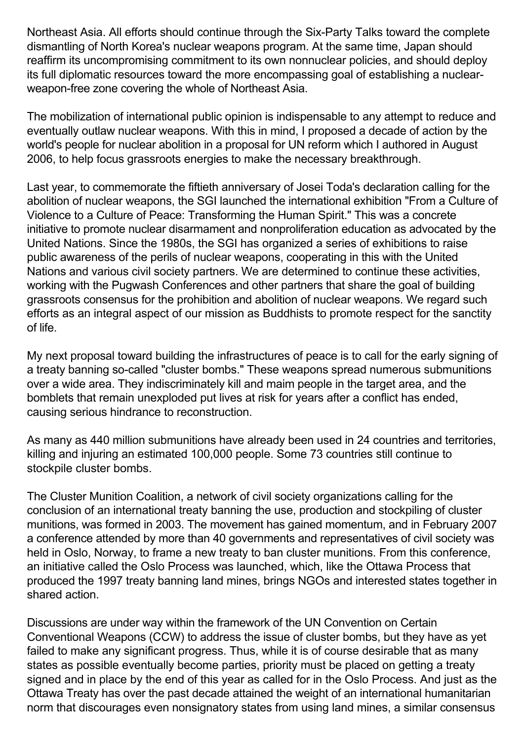Northeast Asia. All efforts should continue through the Six-Party Talks toward the complete dismantling of North Korea's nuclear weapons program. At the same time, Japan should reaffirm its uncompromising commitment to its own nonnuclear policies, and should deploy its full diplomatic resources toward the more encompassing goal of establishing a nuclearweapon-free zone covering the whole of Northeast Asia.

The mobilization of international public opinion is indispensable to any attempt to reduce and eventually outlaw nuclear weapons. With this in mind, I proposed a decade of action by the world's people for nuclear abolition in a proposal for UN reform which I authored in August 2006, to help focus grassroots energies to make the necessary breakthrough.

Last year, to commemorate the fiftieth anniversary of Josei Toda's declaration calling for the abolition of nuclear weapons, the SGI launched the international exhibition "From a Culture of Violence to a Culture of Peace: Transforming the Human Spirit." This was a concrete initiative to promote nuclear disarmament and nonproliferation education as advocated by the United Nations. Since the 1980s, the SGI has organized a series of exhibitions to raise public awareness of the perils of nuclear weapons, cooperating in this with the United Nations and various civil society partners. We are determined to continue these activities, working with the Pugwash Conferences and other partners that share the goal of building grassroots consensus for the prohibition and abolition of nuclear weapons. We regard such efforts as an integral aspect of our mission as Buddhists to promote respect for the sanctity of life.

My next proposal toward building the infrastructures of peace is to call for the early signing of a treaty banning so-called "cluster bombs." These weapons spread numerous submunitions over a wide area. They indiscriminately kill and maim people in the target area, and the bomblets that remain unexploded put lives at risk for years after a conflict has ended, causing serious hindrance to reconstruction.

As many as 440 million submunitions have already been used in 24 countries and territories, killing and injuring an estimated 100,000 people. Some 73 countries still continue to stockpile cluster bombs.

The Cluster Munition Coalition, a network of civil society organizations calling for the conclusion of an international treaty banning the use, production and stockpiling of cluster munitions, was formed in 2003. The movement has gained momentum, and in February 2007 a conference attended by more than 40 governments and representatives of civil society was held in Oslo, Norway, to frame a new treaty to ban cluster munitions. From this conference, an initiative called the Oslo Process was launched, which, like the Ottawa Process that produced the 1997 treaty banning land mines, brings NGOs and interested states together in shared action.

Discussions are under way within the framework of the UN Convention on Certain Conventional Weapons (CCW) to address the issue of cluster bombs, but they have as yet failed to make any significant progress. Thus, while it is of course desirable that as many states as possible eventually become parties, priority must be placed on getting a treaty signed and in place by the end of this year as called for in the Oslo Process. And just as the Ottawa Treaty has over the past decade attained the weight of an international humanitarian norm that discourages even nonsignatory states from using land mines, a similar consensus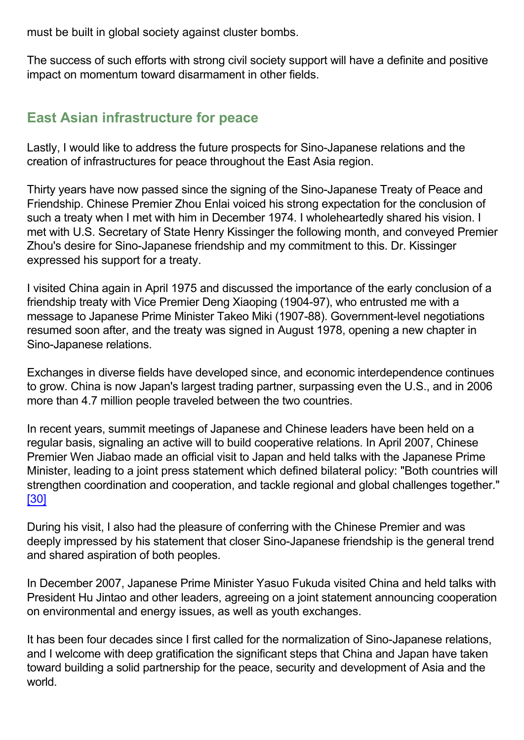must be built in global society against cluster bombs.

The success of such efforts with strong civil society support will have a definite and positive impact on momentum toward disarmament in other fields.

# East Asian infrastructure for peace

Lastly, I would like to address the future prospects for Sino-Japanese relations and the creation of infrastructures for peace throughout the East Asia region.

Thirty years have now passed since the signing of the Sino-Japanese Treaty of Peace and Friendship. Chinese Premier Zhou Enlai voiced his strong expectation for the conclusion of such a treaty when I met with him in December 1974. I wholeheartedly shared his vision. I met with U.S. Secretary of State Henry Kissinger the following month, and conveyed Premier Zhou's desire for Sino-Japanese friendship and my commitment to this. Dr. Kissinger expressed his support for a treaty.

I visited China again in April 1975 and discussed the importance of the early conclusion of a friendship treaty with Vice Premier Deng Xiaoping (1904-97), who entrusted me with a message to Japanese Prime Minister Takeo Miki (1907-88). Government-level negotiations resumed soon after, and the treaty was signed in August 1978, opening a new chapter in Sino-Japanese relations.

Exchanges in diverse fields have developed since, and economic interdependence continues to grow. China is now Japan's largest trading partner, surpassing even the U.S., and in 2006 more than 4.7 million people traveled between the two countries.

In recent years, summit meetings of Japanese and Chinese leaders have been held on a regular basis, signaling an active will to build cooperative relations. In April 2007, Chinese Premier Wen Jiabao made an official visit to Japan and held talks with the Japanese Prime Minister, leading to a joint press statement which defined bilateral policy: "Both countries will strengthen coordination and cooperation, and tackle regional and global challenges together." [\[30\]](#page-25-0)

During his visit, I also had the pleasure of conferring with the Chinese Premier and was deeply impressed by his statement that closer Sino-Japanese friendship is the general trend and shared aspiration of both peoples.

In December 2007, Japanese Prime Minister Yasuo Fukuda visited China and held talks with President Hu Jintao and other leaders, agreeing on a joint statement announcing cooperation on environmental and energy issues, as well as youth exchanges.

It has been four decades since I first called for the normalization of Sino-Japanese relations, and I welcome with deep gratification the significant steps that China and Japan have taken toward building a solid partnership for the peace, security and development of Asia and the world.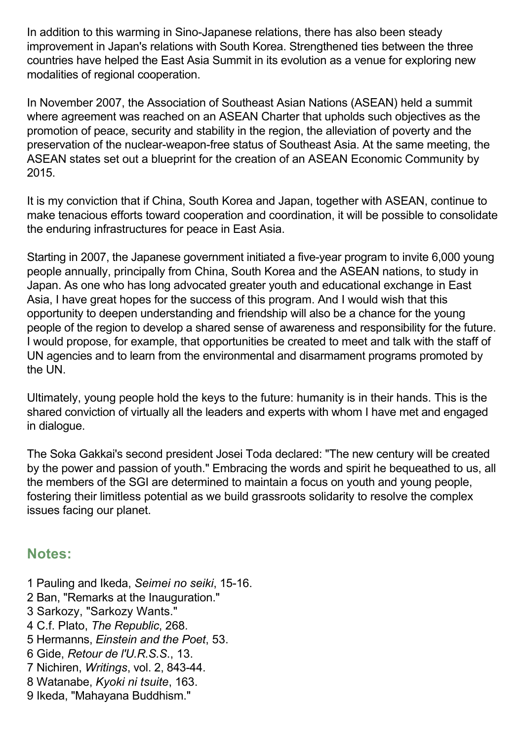<span id="page-24-0"></span>In addition to this warming in Sino-Japanese relations, there has also been steady improvement in Japan's relations with South Korea. Strengthened ties between the three countries have helped the East Asia Summit in its evolution as a venue for exploring new modalities of regional cooperation.

In November 2007, the Association of Southeast Asian Nations (ASEAN) held a summit where agreement was reached on an ASEAN Charter that upholds such objectives as the promotion of peace, security and stability in the region, the alleviation of poverty and the preservation of the nuclear-weapon-free status of Southeast Asia. At the same meeting, the ASEAN states set out a blueprint for the creation of an ASEAN Economic Community by 2015.

It is my conviction that if China, South Korea and Japan, together with ASEAN, continue to make tenacious efforts toward cooperation and coordination, it will be possible to consolidate the enduring infrastructures for peace in East Asia.

Starting in 2007, the Japanese government initiated a five-year program to invite 6,000 young people annually, principally from China, South Korea and the ASEAN nations, to study in Japan. As one who has long advocated greater youth and educational exchange in East Asia, I have great hopes for the success of this program. And I would wish that this opportunity to deepen understanding and friendship will also be a chance for the young people of the region to develop a shared sense of awareness and responsibility for the future. I would propose, for example, that opportunities be created to meet and talk with the staff of UN agencies and to learn from the environmental and disarmament programs promoted by the UN.

Ultimately, young people hold the keys to the future: humanity is in their hands. This is the shared conviction of virtually all the leaders and experts with whom I have met and engaged in dialogue.

The Soka Gakkai's second president Josei Toda declared: "The new century will be created by the power and passion of youth." Embracing the words and spirit he bequeathed to us, all the members of the SGI are determined to maintain a focus on youth and young people, fostering their limitless potential as we build grassroots solidarity to resolve the complex issues facing our planet.

### Notes:

- 1 Pauling and Ikeda, *Seimei no seiki*, 15-16.
- 2 Ban, "Remarks at the Inauguration."
- 3 Sarkozy, "Sarkozy Wants."
- 4 C.f. Plato, *The Republic*, 268.
- 5 Hermanns, *Einstein and the Poet*, 53.
- 6 Gide, *Retour de l'U.R.S.S*., 13.
- 7 Nichiren, *Writings*, vol. 2, 843-44.
- 8 Watanabe, *Kyoki ni tsuite*, 163.
- 9 Ikeda, "Mahayana Buddhism."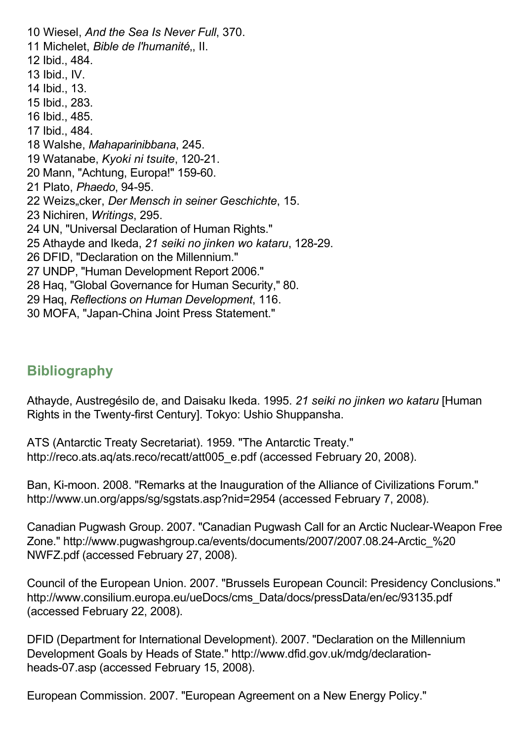<span id="page-25-0"></span>10 Wiesel, *And the Sea Is Never Full*, 370. 11 Michelet, *Bible de l'humanité*', II. 12 Ibid., 484. 13 Ibid., IV. 14 Ibid., 13. 15 Ibid., 283. 16 Ibid., 485. 17 Ibid., 484. 18 Walshe, *Mahaparinibbana*, 245. 19 Watanabe, *Kyoki ni tsuite*, 120-21. 20 Mann, "Achtung, Europa!" 159-60. 21 Plato, *Phaedo*, 94-95. 22 Weizs"cker, *Der Mensch in seiner Geschichte*, 15. 23 Nichiren, *Writings*, 295. 24 UN, "Universal Declaration of Human Rights." 25 Athayde and Ikeda, *21 seiki no jinken wo kataru*, 128-29. 26 DFID, "Declaration on the Millennium." 27 UNDP, "Human Development Report 2006." 28 Haq, "Global Governance for Human Security," 80. 29 Haq, *Reflections on Human Development*, 116.

30 MOFA, "Japan-China Joint Press Statement."

# **Bibliography**

Athayde, Austregésilo de, and Daisaku Ikeda. 1995. *21 seiki no jinken wo kataru* [Human Rights in the Twenty-first Century]. Tokyo: Ushio Shuppansha.

ATS (Antarctic Treaty Secretariat). 1959. "The Antarctic Treaty." http://reco.ats.aq/ats.reco/recatt/att005\_e.pdf (accessed February 20, 2008).

Ban, Ki-moon. 2008. "Remarks at the Inauguration of the Alliance of Civilizations Forum." http://www.un.org/apps/sg/sgstats.asp?nid=2954 (accessed February 7, 2008).

Canadian Pugwash Group. 2007. "Canadian Pugwash Call for an Arctic Nuclear-Weapon Free Zone." http://www.pugwashgroup.ca/events/documents/2007/2007.08.24-Arctic\_%20 NWFZ.pdf (accessed February 27, 2008).

Council of the European Union. 2007. "Brussels European Council: Presidency Conclusions." http://www.consilium.europa.eu/ueDocs/cms\_Data/docs/pressData/en/ec/93135.pdf (accessed February 22, 2008).

DFID (Department for International Development). 2007. "Declaration on the Millennium Development Goals by Heads of State." http://www.dfid.gov.uk/mdg/declarationheads-07.asp (accessed February 15, 2008).

European Commission. 2007. "European Agreement on a New Energy Policy."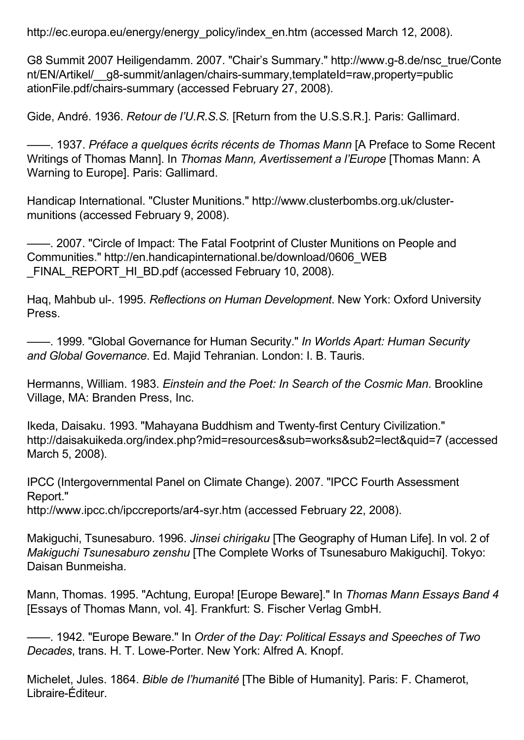http://ec.europa.eu/energy/energy\_policy/index\_en.htm (accessed March 12, 2008).

G8 Summit 2007 Heiligendamm. 2007. "Chair's Summary." http://www.g-8.de/nsc\_true/Conte nt/EN/Artikel/ g8-summit/anlagen/chairs-summary,templateId=raw,property=public ationFile.pdf/chairs-summary (accessed February 27, 2008).

Gide, André. 1936. *Retour de l'U.R.S.S.* [Return from the U.S.S.R.]. Paris: Gallimard.

——. 1937. *Préface a quelques écrits récents de Thomas Mann* [A Preface to Some Recent Writings of Thomas Mann]. In *Thomas Mann, Avertissement a l'Europe* [Thomas Mann: A Warning to Europe]. Paris: Gallimard.

Handicap International. "Cluster Munitions." http://www.clusterbombs.org.uk/clustermunitions (accessed February 9, 2008).

——. 2007. "Circle of Impact: The Fatal Footprint of Cluster Munitions on People and Communities." http://en.handicapinternational.be/download/0606\_WEB FINAL\_REPORT\_HI\_BD.pdf (accessed February 10, 2008).

Haq, Mahbub ul-. 1995. *Reflections on Human Development*. New York: Oxford University Press.

——. 1999. "Global Governance for Human Security." *In Worlds Apart: Human Security and Global Governance*. Ed. Majid Tehranian. London: I. B. Tauris.

Hermanns, William. 1983. *Einstein and the Poet: In Search of the Cosmic Man*. Brookline Village, MA: Branden Press, Inc.

Ikeda, Daisaku. 1993. "Mahayana Buddhism and Twenty-first Century Civilization." http://daisakuikeda.org/index.php?mid=resources&sub=works&sub2=lect&quid=7 (accessed March 5, 2008).

IPCC (Intergovernmental Panel on Climate Change). 2007. "IPCC Fourth Assessment Report."

http://www.ipcc.ch/ipccreports/ar4-syr.htm (accessed February 22, 2008).

Makiguchi, Tsunesaburo. 1996. *Jinsei chirigaku* [The Geography of Human Life]. In vol. 2 of *Makiguchi Tsunesaburo zenshu* [The Complete Works of Tsunesaburo Makiguchi]. Tokyo: Daisan Bunmeisha.

Mann, Thomas. 1995. "Achtung, Europa! [Europe Beware]." In *Thomas Mann Essays Band 4* [Essays of Thomas Mann, vol. 4]. Frankfurt: S. Fischer Verlag GmbH.

——. 1942. "Europe Beware." In *Order of the Day: Political Essays and Speeches of Two Decades*, trans. H. T. Lowe-Porter. New York: Alfred A. Knopf.

Michelet, Jules. 1864. *Bible de l'humanité* [The Bible of Humanity]. Paris: F. Chamerot, Libraire-Éditeur.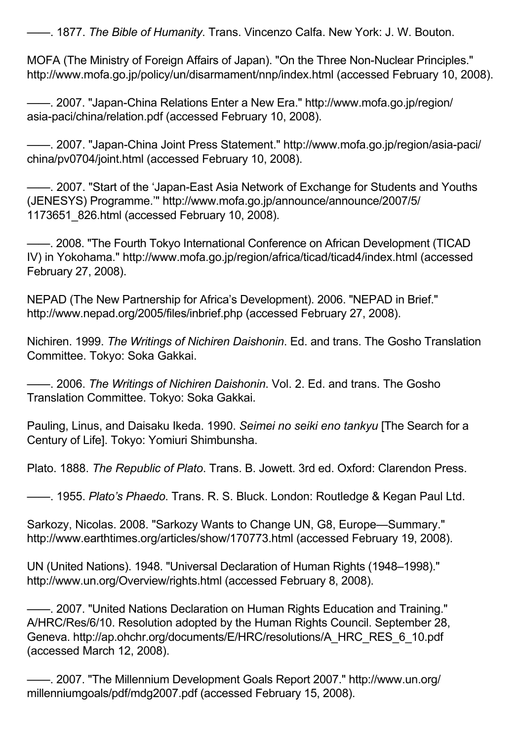——. 1877. *The Bible of Humanity*. Trans. Vincenzo Calfa. New York: J. W. Bouton.

MOFA (The Ministry of Foreign Affairs of Japan). "On the Three Non-Nuclear Principles." http://www.mofa.go.jp/policy/un/disarmament/nnp/index.html (accessed February 10, 2008).

——. 2007. "Japan-China Relations Enter a New Era." http://www.mofa.go.jp/region/ asia-paci/china/relation.pdf (accessed February 10, 2008).

——. 2007. "Japan-China Joint Press Statement." http://www.mofa.go.jp/region/asia-paci/ china/pv0704/joint.html (accessed February 10, 2008).

——. 2007. "Start of the 'Japan-East Asia Network of Exchange for Students and Youths (JENESYS) Programme.'" http://www.mofa.go.jp/announce/announce/2007/5/ 1173651\_826.html (accessed February 10, 2008).

——. 2008. "The Fourth Tokyo International Conference on African Development (TICAD IV) in Yokohama." http://www.mofa.go.jp/region/africa/ticad/ticad4/index.html (accessed February 27, 2008).

NEPAD (The New Partnership for Africa's Development). 2006. "NEPAD in Brief." http://www.nepad.org/2005/files/inbrief.php (accessed February 27, 2008).

Nichiren. 1999. *The Writings of Nichiren Daishonin*. Ed. and trans. The Gosho Translation Committee. Tokyo: Soka Gakkai.

——. 2006. *The Writings of Nichiren Daishonin*. Vol. 2. Ed. and trans. The Gosho Translation Committee. Tokyo: Soka Gakkai.

Pauling, Linus, and Daisaku Ikeda. 1990. *Seimei no seiki eno tankyu* [The Search for a Century of Life]. Tokyo: Yomiuri Shimbunsha.

Plato. 1888. *The Republic of Plato*. Trans. B. Jowett. 3rd ed. Oxford: Clarendon Press.

——. 1955. *Plato's Phaedo*. Trans. R. S. Bluck. London: Routledge & Kegan Paul Ltd.

Sarkozy, Nicolas. 2008. "Sarkozy Wants to Change UN, G8, Europe—Summary." http://www.earthtimes.org/articles/show/170773.html (accessed February 19, 2008).

UN (United Nations). 1948. "Universal Declaration of Human Rights (1948–1998)." http://www.un.org/Overview/rights.html (accessed February 8, 2008).

——. 2007. "United Nations Declaration on Human Rights Education and Training." A/HRC/Res/6/10. Resolution adopted by the Human Rights Council. September 28, Geneva. http://ap.ohchr.org/documents/E/HRC/resolutions/A\_HRC\_RES\_6\_10.pdf (accessed March 12, 2008).

——. 2007. "The Millennium Development Goals Report 2007." http://www.un.org/ millenniumgoals/pdf/mdg2007.pdf (accessed February 15, 2008).